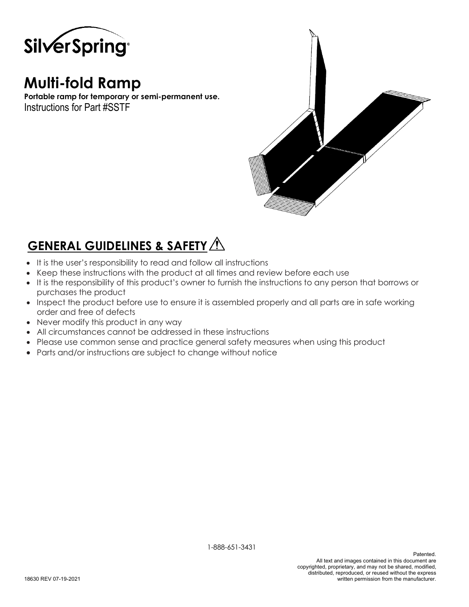

# **Multi-fold Ramp**

**Portable ramp for temporary or semi-permanent use.** Instructions for Part #SSTF



## **GENERAL GUIDELINES & SAFETY**

- It is the user's responsibility to read and follow all instructions
- Keep these instructions with the product at all times and review before each use
- It is the responsibility of this product's owner to furnish the instructions to any person that borrows or purchases the product
- Inspect the product before use to ensure it is assembled properly and all parts are in safe working order and free of defects
- Never modify this product in any way
- All circumstances cannot be addressed in these instructions
- Please use common sense and practice general safety measures when using this product
- Parts and/or instructions are subject to change without notice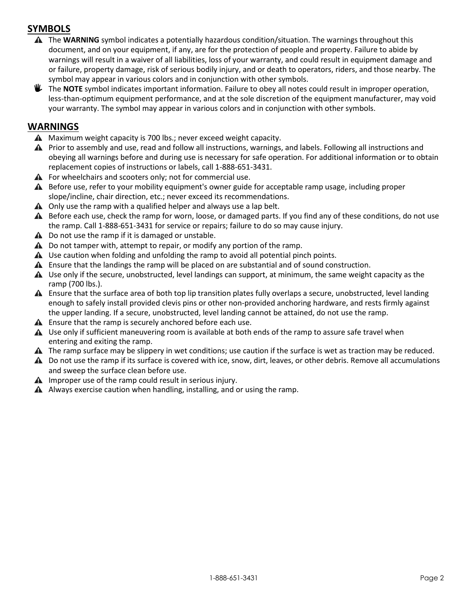## **SYMBOLS**

- The **WARNING** symbol indicates a potentially hazardous condition/situation. The warnings throughout this document, and on your equipment, if any, are for the protection of people and property. Failure to abide by warnings will result in a waiver of all liabilities, loss of your warranty, and could result in equipment damage and or failure, property damage, risk of serious bodily injury, and or death to operators, riders, and those nearby. The symbol may appear in various colors and in conjunction with other symbols.
- **U** The **NOTE** symbol indicates important information. Failure to obey all notes could result in improper operation, less-than-optimum equipment performance, and at the sole discretion of the equipment manufacturer, may void your warranty. The symbol may appear in various colors and in conjunction with other symbols.

#### **WARNINGS**

- $\triangle$  Maximum weight capacity is 700 lbs.; never exceed weight capacity.
- A Prior to assembly and use, read and follow all instructions, warnings, and labels. Following all instructions and obeying all warnings before and during use is necessary for safe operation. For additional information or to obtain replacement copies of instructions or labels, call 1-888-651-3431.
- $\triangle$  For wheelchairs and scooters only; not for commercial use.
- A Before use, refer to your mobility equipment's owner guide for acceptable ramp usage, including proper slope/incline, chair direction, etc.; never exceed its recommendations.
- $\triangle$  Only use the ramp with a qualified helper and always use a lap belt.
- A Before each use, check the ramp for worn, loose, or damaged parts. If you find any of these conditions, do not use the ramp. Call 1-888-651-3431 for service or repairs; failure to do so may cause injury.
- $\triangle$  Do not use the ramp if it is damaged or unstable.
- $\triangle$  Do not tamper with, attempt to repair, or modify any portion of the ramp.
- $\triangle$  Use caution when folding and unfolding the ramp to avoid all potential pinch points.
- **A** Ensure that the landings the ramp will be placed on are substantial and of sound construction.
- Use only if the secure, unobstructed, level landings can support, at minimum, the same weight capacity as the ramp (700 lbs.).
- Ensure that the surface area of both top lip transition plates fully overlaps a secure, unobstructed, level landing enough to safely install provided clevis pins or other non-provided anchoring hardware, and rests firmly against the upper landing. If a secure, unobstructed, level landing cannot be attained, do not use the ramp.
- $\triangle$  Ensure that the ramp is securely anchored before each use.
- $\triangle$  Use only if sufficient maneuvering room is available at both ends of the ramp to assure safe travel when entering and exiting the ramp.
- $\triangle$  The ramp surface may be slippery in wet conditions; use caution if the surface is wet as traction may be reduced.
- ▲ Do not use the ramp if its surface is covered with ice, snow, dirt, leaves, or other debris. Remove all accumulations and sweep the surface clean before use.
- $\triangle$  Improper use of the ramp could result in serious injury.
- $\triangle$  Always exercise caution when handling, installing, and or using the ramp.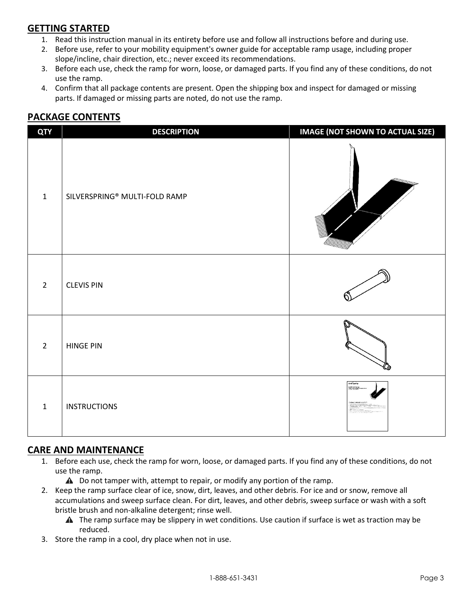## **GETTING STARTED**

- 1. Read this instruction manual in its entirety before use and follow all instructions before and during use.
- 2. Before use, refer to your mobility equipment's owner guide for acceptable ramp usage, including proper slope/incline, chair direction, etc.; never exceed its recommendations.
- 3. Before each use, check the ramp for worn, loose, or damaged parts. If you find any of these conditions, do not use the ramp.
- 4. Confirm that all package contents are present. Open the shipping box and inspect for damaged or missing parts. If damaged or missing parts are noted, do not use the ramp.

## **PACKAGE CONTENTS**

| <b>QTY</b>     | <b>DESCRIPTION</b>            | <b>IMAGE (NOT SHOWN TO ACTUAL SIZE)</b> |
|----------------|-------------------------------|-----------------------------------------|
| $\mathbf{1}$   | SILVERSPRING® MULTI-FOLD RAMP |                                         |
| $\overline{2}$ | <b>CLEVIS PIN</b>             |                                         |
| $\overline{2}$ | <b>HINGE PIN</b>              |                                         |
| $\mathbf{1}$   | <b>INSTRUCTIONS</b>           | Sive Spring<br>multi cod kon            |

### **CARE AND MAINTENANCE**

- 1. Before each use, check the ramp for worn, loose, or damaged parts. If you find any of these conditions, do not use the ramp.
	- $\triangle$  Do not tamper with, attempt to repair, or modify any portion of the ramp.
- 2. Keep the ramp surface clear of ice, snow, dirt, leaves, and other debris. For ice and or snow, remove all accumulations and sweep surface clean. For dirt, leaves, and other debris, sweep surface or wash with a soft bristle brush and non-alkaline detergent; rinse well.
	- $\triangle$  The ramp surface may be slippery in wet conditions. Use caution if surface is wet as traction may be reduced.
- 3. Store the ramp in a cool, dry place when not in use.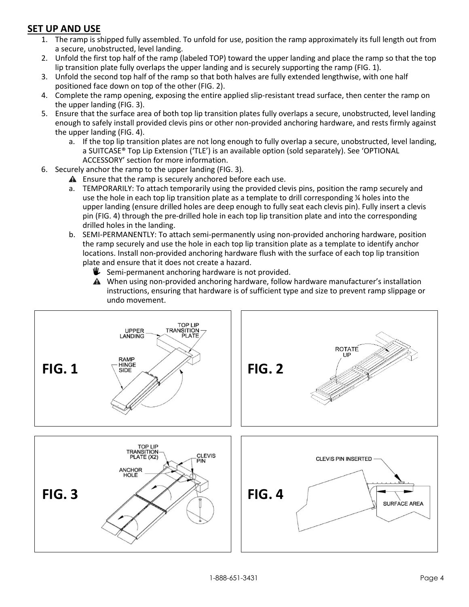## **SET UP AND USE**

- 1. The ramp is shipped fully assembled. To unfold for use, position the ramp approximately its full length out from a secure, unobstructed, level landing.
- 2. Unfold the first top half of the ramp (labeled TOP) toward the upper landing and place the ramp so that the top lip transition plate fully overlaps the upper landing and is securely supporting the ramp (FIG. 1).
- 3. Unfold the second top half of the ramp so that both halves are fully extended lengthwise, with one half positioned face down on top of the other (FIG. 2).
- 4. Complete the ramp opening, exposing the entire applied slip-resistant tread surface, then center the ramp on the upper landing (FIG. 3).
- 5. Ensure that the surface area of both top lip transition plates fully overlaps a secure, unobstructed, level landing enough to safely install provided clevis pins or other non-provided anchoring hardware, and rests firmly against the upper landing (FIG. 4).
	- a. If the top lip transition plates are not long enough to fully overlap a secure, unobstructed, level landing, a SUITCASE® Top Lip Extension ('TLE') is an available option (sold separately). See 'OPTIONAL ACCESSORY' section for more information.
- 6. Securely anchor the ramp to the upper landing (FIG. 3).
	- $\triangle$  Ensure that the ramp is securely anchored before each use.
	- a. TEMPORARILY: To attach temporarily using the provided clevis pins, position the ramp securely and use the hole in each top lip transition plate as a template to drill corresponding ¼ holes into the upper landing (ensure drilled holes are deep enough to fully seat each clevis pin). Fully insert a clevis pin (FIG. 4) through the pre-drilled hole in each top lip transition plate and into the corresponding drilled holes in the landing.
	- b. SEMI-PERMANENTLY: To attach semi-permanently using non-provided anchoring hardware, position the ramp securely and use the hole in each top lip transition plate as a template to identify anchor locations. Install non-provided anchoring hardware flush with the surface of each top lip transition plate and ensure that it does not create a hazard.
		- $\mathbf{\Psi}$  Semi-permanent anchoring hardware is not provided.
		- When using non-provided anchoring hardware, follow hardware manufacturer's installation instructions, ensuring that hardware is of sufficient type and size to prevent ramp slippage or undo movement.

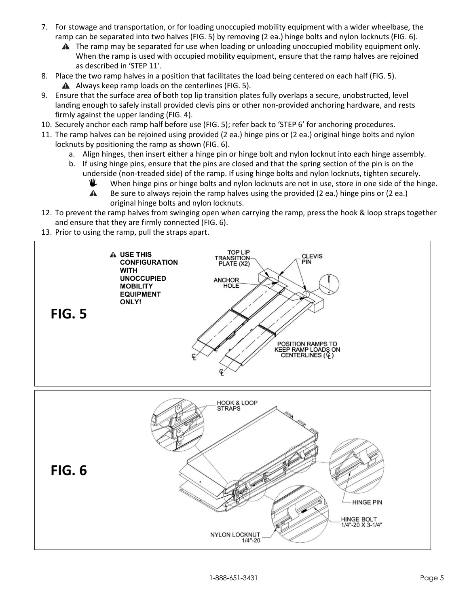- 7. For stowage and transportation, or for loading unoccupied mobility equipment with a wider wheelbase, the ramp can be separated into two halves (FIG. 5) by removing (2 ea.) hinge bolts and nylon locknuts (FIG. 6).
	- **A** The ramp may be separated for use when loading or unloading unoccupied mobility equipment only. When the ramp is used with occupied mobility equipment, ensure that the ramp halves are rejoined as described in 'STEP 11'.
- 8. Place the two ramp halves in a position that facilitates the load being centered on each half (FIG. 5).  $\triangle$  Always keep ramp loads on the centerlines (FIG. 5).
- 9. Ensure that the surface area of both top lip transition plates fully overlaps a secure, unobstructed, level landing enough to safely install provided clevis pins or other non-provided anchoring hardware, and rests firmly against the upper landing (FIG. 4).
- 10. Securely anchor each ramp half before use (FIG. 5); refer back to 'STEP 6' for anchoring procedures.
- 11. The ramp halves can be rejoined using provided (2 ea.) hinge pins or (2 ea.) original hinge bolts and nylon locknuts by positioning the ramp as shown (FIG. 6).
	- a. Align hinges, then insert either a hinge pin or hinge bolt and nylon locknut into each hinge assembly.
	- b. If using hinge pins, ensure that the pins are closed and that the spring section of the pin is on the underside (non-treaded side) of the ramp. If using hinge bolts and nylon locknuts, tighten securely.
		- ᄣ When hinge pins or hinge bolts and nylon locknuts are not in use, store in one side of the hinge.
		- $\blacktriangle$ Be sure to always rejoin the ramp halves using the provided (2 ea.) hinge pins or (2 ea.) original hinge bolts and nylon locknuts.
- 12. To prevent the ramp halves from swinging open when carrying the ramp, press the hook & loop straps together and ensure that they are firmly connected (FIG. 6).
- 13. Prior to using the ramp, pull the straps apart.

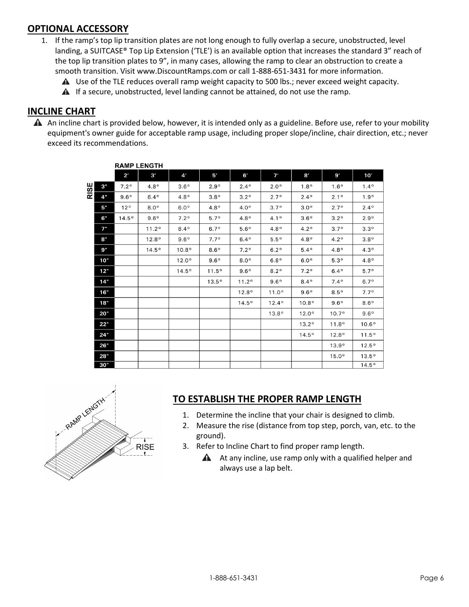### **OPTIONAL ACCESSORY**

- 1. If the ramp's top lip transition plates are not long enough to fully overlap a secure, unobstructed, level landing, a SUITCASE® Top Lip Extension ('TLE') is an available option that increases the standard 3" reach of the top lip transition plates to 9", in many cases, allowing the ramp to clear an obstruction to create a smooth transition. Visit www.DiscountRamps.com or call 1-888-651-3431 for more information.
	- A Use of the TLE reduces overall ramp weight capacity to 500 lbs.; never exceed weight capacity.
	- **A** If a secure, unobstructed, level landing cannot be attained, do not use the ramp.

### **INCLINE CHART**

 $\triangle$  An incline chart is provided below, however, it is intended only as a guideline. Before use, refer to your mobility equipment's owner guide for acceptable ramp usage, including proper slope/incline, chair direction, etc.; never exceed its recommendations.

|      |     | <b>RAMP LENGTH</b> |              |                |                |                |                  |                  |                |                |  |  |
|------|-----|--------------------|--------------|----------------|----------------|----------------|------------------|------------------|----------------|----------------|--|--|
|      |     | $2^{\prime}$       | 3'           | 4'             | 5'             | 6'             | 7'               | 81               | 9'             | 10'            |  |  |
| RISE | 3"  | $7.2^\circ$        | $4.8^\circ$  | $3.6^\circ$    | $2.9^\circ$    | $2.4^{\circ}$  | $2.0^\circ$      | 1.8 <sup>°</sup> | $1.6^\circ$    | $1.4^{\circ}$  |  |  |
|      | 4"  | $9.6^\circ$        | $6.4^\circ$  | $4.8^\circ$    | $3.8^\circ$    | $3.2^\circ$    | 2.7°             | $2.4^{\circ}$    | 2.1°           | $1.9^\circ$    |  |  |
|      | 5"  | 12°                | $8.0^\circ$  | $6.0^\circ$    | $4.8^\circ$    | $4.0^\circ$    | $3.7^\circ$      | 3.0 <sup>o</sup> | $2.7^\circ$    | $2.4^{\circ}$  |  |  |
|      | 6"  | 14.5°              | $9.6^\circ$  | $7.2^\circ$    | $5.7^\circ$    | $4.8^\circ$    | 4.1°             | $3.6^\circ$      | $3.2^\circ$    | $2.9^\circ$    |  |  |
|      | 7"  |                    | 11.2°        | $8.4^\circ$    | $6.7^\circ$    | $5.6^\circ$    | 4.8 <sup>o</sup> | 4.2°             | 3.7°           | $3.3^\circ$    |  |  |
|      | 8"  |                    | $12.8^\circ$ | $9.6^\circ$    | $7.7^\circ$    | $6.4^\circ$    | 5.5°             | $4.8^\circ$      | $4.2^\circ$    | $3.8^\circ$    |  |  |
|      | 9"  |                    | 14.5°        | $10.8^{\circ}$ | $8.6^\circ$    | $7.2^\circ$    | $6.2^\circ$      | 5.4°             | $4.8^\circ$    | $4.3^\circ$    |  |  |
|      | 10" |                    |              | $12.0^\circ$   | $9.6^\circ$    | $8.0^\circ$    | $6.8^\circ$      | $6.0^\circ$      | 5.3°           | $4.8^\circ$    |  |  |
|      | 12" |                    |              | 14.5°          | 11.5°          | $9.6^\circ$    | $8.2^\circ$      | $7.2^\circ$      | $6.4^\circ$    | $5.7^\circ$    |  |  |
|      | 14" |                    |              |                | $13.5^{\circ}$ | 11.2°          | $9.6^\circ$      | $8.4^{\circ}$    | $7.4^\circ$    | $6.7^\circ$    |  |  |
|      | 16" |                    |              |                |                | $12.8^{\circ}$ | 11.0°            | $9.6^\circ$      | $8.5^\circ$    | $7.7^\circ$    |  |  |
|      | 18" |                    |              |                |                | 14.5°          | $12.4^{\circ}$   | $10.8^{\circ}$   | $9.6^\circ$    | $8.6^\circ$    |  |  |
|      | 20" |                    |              |                |                |                | 13.8°            | $12.0^{\circ}$   | $10.7^{\circ}$ | $9.6^\circ$    |  |  |
|      | 22" |                    |              |                |                |                |                  | 13.2°            | 11.8°          | $10.6^\circ$   |  |  |
|      | 24" |                    |              |                |                |                |                  | 14.5°            | $12.8^{\circ}$ | 11.5°          |  |  |
|      | 26" |                    |              |                |                |                |                  |                  | $13.9^\circ$   | $12.5^\circ$   |  |  |
|      | 28" |                    |              |                |                |                |                  |                  | $15.0^\circ$   | $13.5^{\circ}$ |  |  |
|      | 30" |                    |              |                |                |                |                  |                  |                | $14.5^\circ$   |  |  |



### **TO ESTABLISH THE PROPER RAMP LENGTH**

- 1. Determine the incline that your chair is designed to climb.
- 2. Measure the rise (distance from top step, porch, van, etc. to the ground).
- 3. Refer to Incline Chart to find proper ramp length.
	- $\triangle$  At any incline, use ramp only with a qualified helper and always use a lap belt.